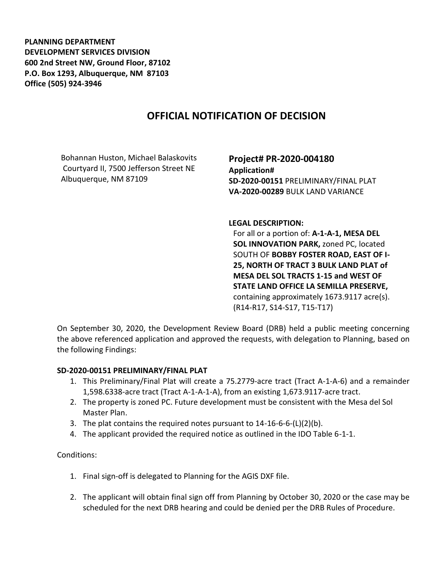**PLANNING DEPARTMENT DEVELOPMENT SERVICES DIVISION 600 2nd Street NW, Ground Floor, 87102 P.O. Box 1293, Albuquerque, NM 87103 Office (505) 924-3946** 

## **OFFICIAL NOTIFICATION OF DECISION**

Bohannan Huston, Michael Balaskovits Courtyard II, 7500 Jefferson Street NE Albuquerque, NM 87109

**Project# PR-2020-004180 Application# SD-2020-00151** PRELIMINARY/FINAL PLAT **VA-2020-00289** BULK LAND VARIANCE

**LEGAL DESCRIPTION:**

For all or a portion of: **A-1-A-1, MESA DEL SOL INNOVATION PARK,** zoned PC, located SOUTH OF **BOBBY FOSTER ROAD, EAST OF I-25, NORTH OF TRACT 3 BULK LAND PLAT of MESA DEL SOL TRACTS 1-15 and WEST OF STATE LAND OFFICE LA SEMILLA PRESERVE,**  containing approximately 1673.9117 acre(s). (R14-R17, S14-S17, T15-T17)

On September 30, 2020, the Development Review Board (DRB) held a public meeting concerning the above referenced application and approved the requests, with delegation to Planning, based on the following Findings:

## **SD-2020-00151 PRELIMINARY/FINAL PLAT**

- 1. This Preliminary/Final Plat will create a 75.2779-acre tract (Tract A-1-A-6) and a remainder 1,598.6338-acre tract (Tract A-1-A-1-A), from an existing 1,673.9117-acre tract.
- 2. The property is zoned PC. Future development must be consistent with the Mesa del Sol Master Plan.
- 3. The plat contains the required notes pursuant to 14-16-6-6-(L)(2)(b).
- 4. The applicant provided the required notice as outlined in the IDO Table 6-1-1.

## Conditions:

- 1. Final sign-off is delegated to Planning for the AGIS DXF file.
- 2. The applicant will obtain final sign off from Planning by October 30, 2020 or the case may be scheduled for the next DRB hearing and could be denied per the DRB Rules of Procedure.